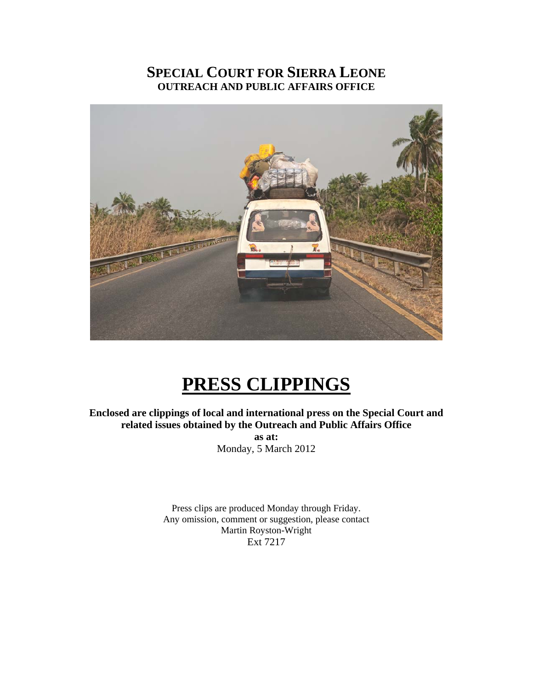### **SPECIAL COURT FOR SIERRA LEONE OUTREACH AND PUBLIC AFFAIRS OFFICE**



## **PRESS CLIPPINGS**

**Enclosed are clippings of local and international press on the Special Court and related issues obtained by the Outreach and Public Affairs Office** 

> **as at:**  Monday, 5 March 2012

Press clips are produced Monday through Friday. Any omission, comment or suggestion, please contact Martin Royston-Wright Ext 7217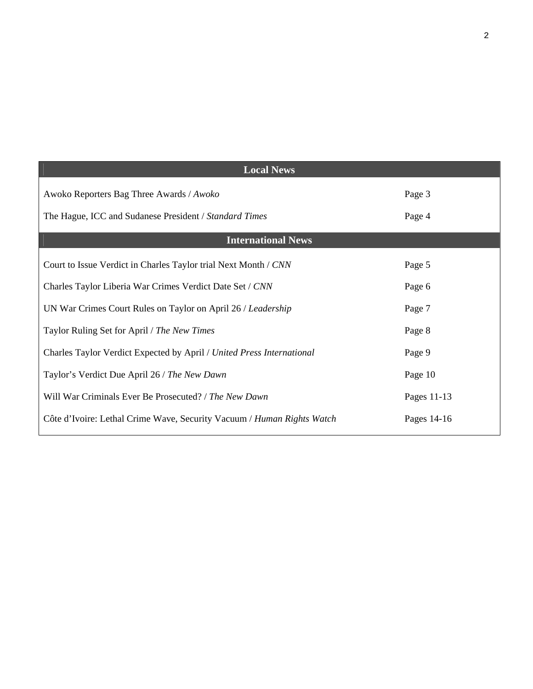| <b>Local News</b>                                                      |             |
|------------------------------------------------------------------------|-------------|
| Awoko Reporters Bag Three Awards / Awoko                               | Page 3      |
| The Hague, ICC and Sudanese President / Standard Times                 | Page 4      |
| <b>International News</b>                                              |             |
| Court to Issue Verdict in Charles Taylor trial Next Month / CNN        | Page 5      |
| Charles Taylor Liberia War Crimes Verdict Date Set / CNN               | Page 6      |
| UN War Crimes Court Rules on Taylor on April 26 / Leadership           | Page 7      |
| Taylor Ruling Set for April / The New Times                            | Page 8      |
| Charles Taylor Verdict Expected by April / United Press International  | Page 9      |
| Taylor's Verdict Due April 26 / The New Dawn                           | Page 10     |
| Will War Criminals Ever Be Prosecuted? / The New Dawn                  | Pages 11-13 |
| Côte d'Ivoire: Lethal Crime Wave, Security Vacuum / Human Rights Watch | Pages 14-16 |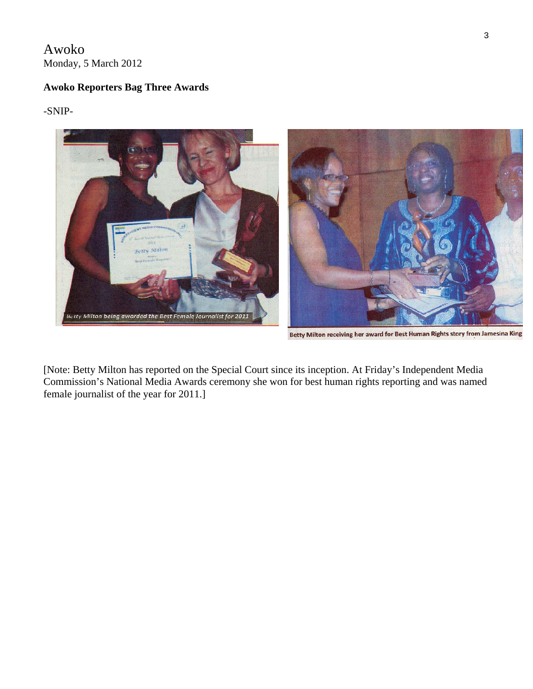Awoko Monday, 5 March 2012

#### **Awoko Reporters Bag Three Awards**

-SNIP-



Betty Milton receiving her award for Best Human Rights story from Jamesina King

[Note: Betty Milton has reported on the Special Court since its inception. At Friday's Independent Media Commission's National Media Awards ceremony she won for best human rights reporting and was named female journalist of the year for 2011.]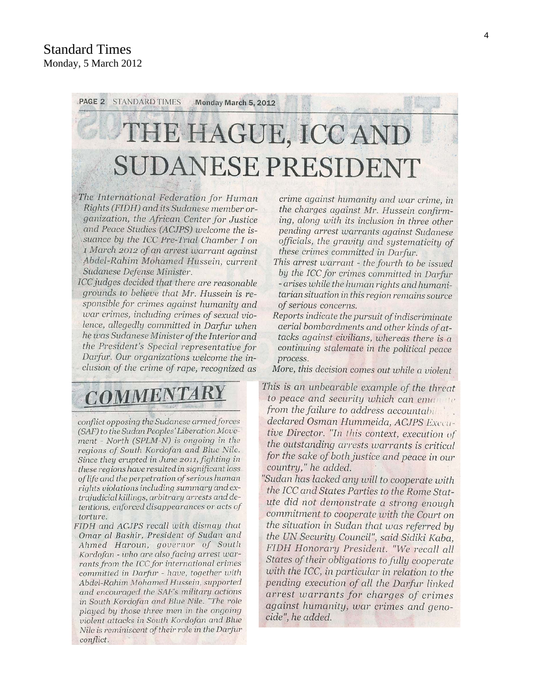## PAGE 2 **STANDARD TIMES** Monday March 5, 2012 THE HAGUE, ICC AND SUDANESE PRESIDENT

The International Federation for Human Rights (FIDH) and its Sudanese member organization, the African Center for Justice and Peace Studies (ACJPS) welcome the issuance by the ICC Pre-Trial Chamber I on 1 March 2012 of an arrest warrant against Abdel-Rahim Mohamed Hussein, current Sudanese Defense Minister.

ICC judges decided that there are reasonable grounds to believe that Mr. Hussein is responsible for crimes against humanity and war crimes, including crimes of sexual violence, allegedly committed in Darfur when he was Sudanese Minister of the Interior and the President's Special representative for Darfur. Our organizations welcome the inclusion of the crime of rape, recognized as

# **COMMENTARY**

conflict opposing the Sudanese armed forces (SAF) to the Sudan Peoples' Liberation Movement - North (SPLM-N) is ongoing in the regions of South Kordofan and Blue Nile. Since they erupted in June 2011, fighting in these regions have resulted in significant loss of life and the perpetration of serious human rights violations including summary and extrajudicial killings, arbitrary arrests and detentions, enforced disappearances or acts of torture.

FIDH and ACJPS recall with dismay that Omar al Bashir, President of Sudan and Ahmed Haroun, governor of South Kordofan - who are also facing arrest warrants from the ICC for international crimes committed in Darfur - have, together with Abdel-Rahim Mohamed Hussein, supported and encouraged the SAF's military actions in South Kordofan and Blue Nile. "The role played by those three men in the ongoing violent attacks in South Kordofan and Blue Nile is reminiscent of their role in the Darfur conflict.

crime against humanity and war crime, in the charges against Mr. Hussein confirming, along with its inclusion in three other pending arrest warrants against Sudanese officials, the gravity and systematicity of these crimes committed in Darfur.

- This arrest warrant the fourth to be issued by the ICC for crimes committed in Darfur - arises while the human rights and humanitarian situation in this region remains source of serious concerns.
- Reports indicate the pursuit of indiscriminate aerial bombardments and other kinds of attacks against civilians, whereas there is a continuing stalemate in the political peace process.

More, this decision comes out while a violent

- This is an unbearable example of the threat to peace and security which can eman to from the failure to address accountabil declared Osman Hummeida, ACJPS Executive Director. "In this context, execution of the outstanding arrests warrants is critical for the sake of both justice and peace in our country," he added.
- "Sudan has lacked any will to cooperate with the ICC and States Parties to the Rome Statute did not demonstrate a strong enough commitment to cooperate with the Court on the situation in Sudan that was referred by the UN Security Council", said Sidiki Kaba, FIDH Honorary President. "We recall all States of their obligations to fully cooperate with the ICC, in particular in relation to the pending execution of all the Darfur linked arrest warrants for charges of crimes against humanity, war crimes and genocide", he added.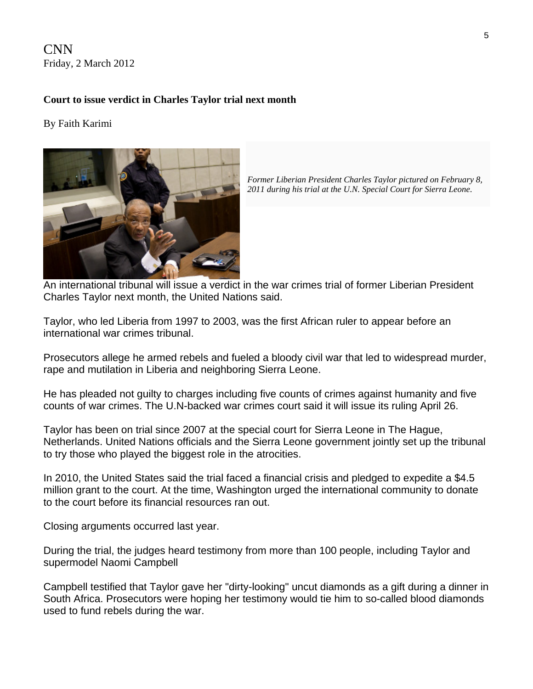CNN Friday, 2 March 2012

#### **Court to issue verdict in Charles Taylor trial next month**

#### By Faith Karimi



*Former Liberian President Charles Taylor pictured on February 8, 2011 during his trial at the U.N. Special Court for Sierra Leone*.

An international tribunal will issue a verdict in the war crimes trial of former Liberian President Charles Taylor next month, the United Nations said.

Taylor, who led Liberia from 1997 to 2003, was the first African ruler to appear before an international war crimes tribunal.

Prosecutors allege he armed rebels and fueled a bloody civil war that led to widespread murder, rape and mutilation in Liberia and neighboring Sierra Leone.

He has pleaded not guilty to charges including five counts of crimes against humanity and five counts of war crimes. The U.N-backed war crimes court said it will issue its ruling April 26.

Taylor has been on trial since 2007 at the special court for Sierra Leone in The Hague, Netherlands. United Nations officials and the Sierra Leone government jointly set up the tribunal to try those who played the biggest role in the atrocities.

In 2010, the United States said the trial faced a financial crisis and pledged to expedite a \$4.5 million grant to the court. At the time, Washington urged the international community to donate to the court before its financial resources ran out.

Closing arguments occurred last year.

During the trial, the judges heard testimony from more than 100 people, including Taylor and supermodel Naomi Campbell

Campbell testified that Taylor gave her "dirty-looking" uncut diamonds as a gift during a dinner in South Africa. Prosecutors were hoping her testimony would tie him to so-called blood diamonds used to fund rebels during the war.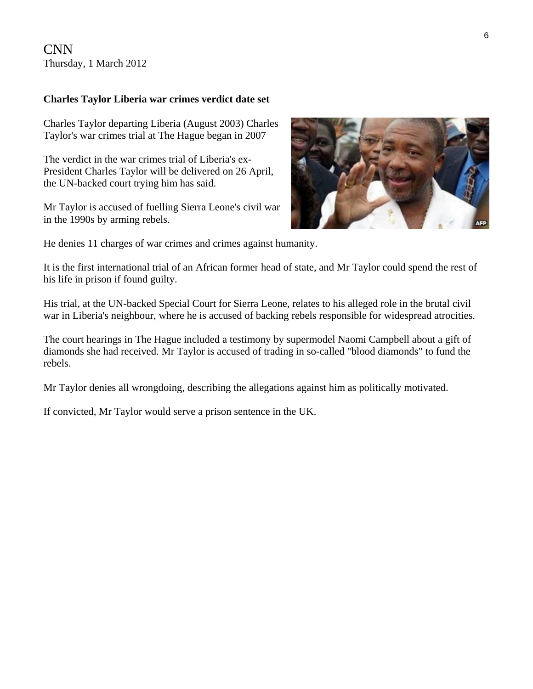CNN Thursday, 1 March 2012

#### **Charles Taylor Liberia war crimes verdict date set**

Charles Taylor departing Liberia (August 2003) Charles Taylor's war crimes trial at The Hague began in 2007

The verdict in the war crimes trial of Liberia's ex-President Charles Taylor will be delivered on 26 April, the UN-backed court trying him has said.

Mr Taylor is accused of fuelling Sierra Leone's civil war in the 1990s by arming rebels.



He denies 11 charges of war crimes and crimes against humanity.

It is the first international trial of an African former head of state, and Mr Taylor could spend the rest of his life in prison if found guilty.

His trial, at the UN-backed Special Court for Sierra Leone, relates to his alleged role in the brutal civil war in Liberia's neighbour, where he is accused of backing rebels responsible for widespread atrocities.

The court hearings in The Hague included a testimony by supermodel Naomi Campbell about a gift of diamonds she had received. Mr Taylor is accused of trading in so-called "blood diamonds" to fund the rebels.

Mr Taylor denies all wrongdoing, describing the allegations against him as politically motivated.

If convicted, Mr Taylor would serve a prison sentence in the UK.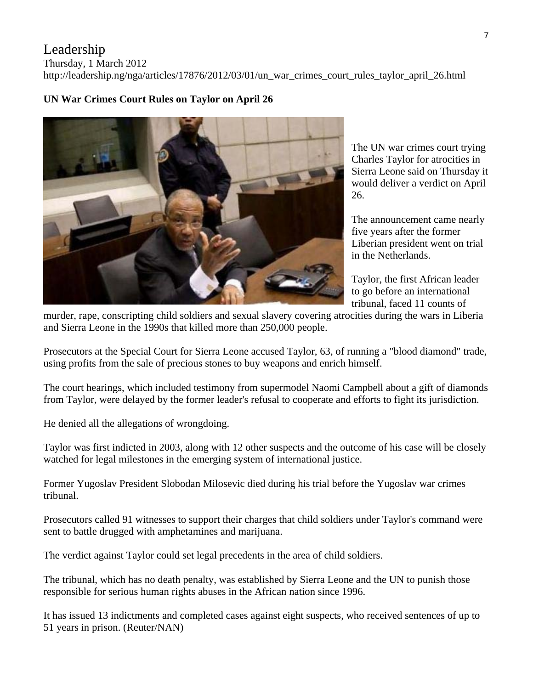#### Leadership

Thursday, 1 March 2012

http://leadership.ng/nga/articles/17876/2012/03/01/un\_war\_crimes\_court\_rules\_taylor\_april\_26.html



**UN War Crimes Court Rules on Taylor on April 26** 

The UN war crimes court trying Charles Taylor for atrocities in Sierra Leone said on Thursday i t would deliver a verdict on Ap ril 26.

The announcement came nearly five years after the former Liberian president went on trial in the Netherlands.

Taylor, the first African leader to go before an international tribunal, faced 11 counts of

murder, rape, conscripting child soldiers and sexual slavery covering atrocities during the wars in Liberia and Sierra Leone in the 1990s that killed more than 250,000 people.

Prosecutors at the Special Court for Sierra Leone accused Taylor, 63, of running a "blood diamond" trade, using profits from the sale of precious stones to buy weapons and enrich himself.

The court hearings, which included testimony from supermodel Naomi Campbell about a gift of diamonds from Taylor, were delayed by the former leader's refusal to cooperate and efforts to fight its jurisdiction.

He denied all the allegations of wrongdoing.

Taylor was first indicted in 2003, along with 12 other suspects and the outcome of his case will be closely watched for legal milestones in the emerging system of international justice.

Former Yugoslav President Slobodan Milosevic died during his trial before the Yugoslav war crimes tribunal.

Prosecutors called 91 witnesses to support their charges that child soldiers under Taylor's command were sent to battle drugged with amphetamines and marijuana.

The verdict against Taylor could set legal precedents in the area of child soldiers.

The tribunal, which has no death penalty, was established by Sierra Leone and the UN to punish those responsible for serious human rights abuses in the African nation since 1996.

It has issued 13 indictments and completed cases against eight suspects, who received sentences of up to 51 years in prison. (Reuter/NAN)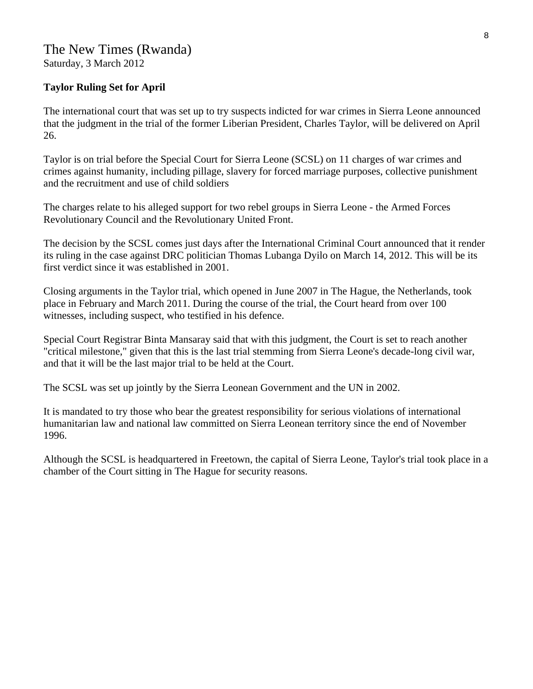#### **Taylor Ruling Set for April**

The international court that was set up to try suspects indicted for war crimes in Sierra Leone announced that the judgment in the trial of the former Liberian President, Charles Taylor, will be delivered on April 26.

Taylor is on trial before the Special Court for Sierra Leone (SCSL) on 11 charges of war crimes and crimes against humanity, including pillage, slavery for forced marriage purposes, collective punishment and the recruitment and use of child soldiers

The charges relate to his alleged support for two rebel groups in Sierra Leone - the Armed Forces Revolutionary Council and the Revolutionary United Front.

The decision by the SCSL comes just days after the International Criminal Court announced that it render its ruling in the case against DRC politician Thomas Lubanga Dyilo on March 14, 2012. This will be its first verdict since it was established in 2001.

Closing arguments in the Taylor trial, which opened in June 2007 in The Hague, the Netherlands, took place in February and March 2011. During the course of the trial, the Court heard from over 100 witnesses, including suspect, who testified in his defence.

Special Court Registrar Binta Mansaray said that with this judgment, the Court is set to reach another "critical milestone," given that this is the last trial stemming from Sierra Leone's decade-long civil war, and that it will be the last major trial to be held at the Court.

The SCSL was set up jointly by the Sierra Leonean Government and the UN in 2002.

It is mandated to try those who bear the greatest responsibility for serious violations of international humanitarian law and national law committed on Sierra Leonean territory since the end of November 1996.

Although the SCSL is headquartered in Freetown, the capital of Sierra Leone, Taylor's trial took place in a chamber of the Court sitting in The Hague for security reasons.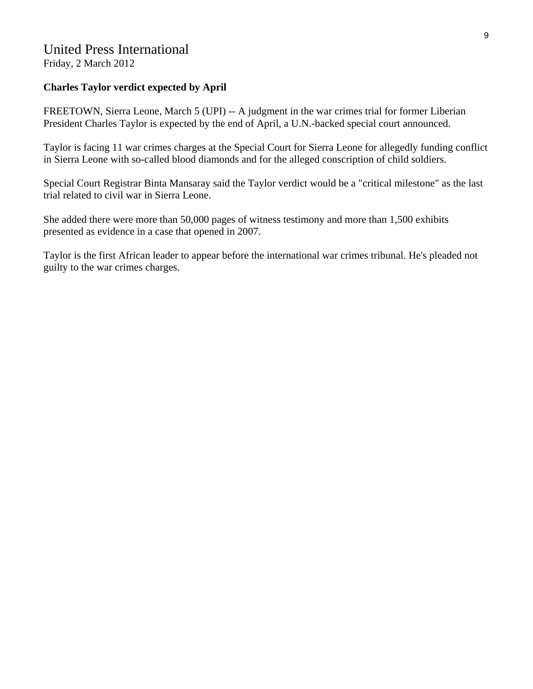## United Press International

Friday, 2 March 2012

#### **Charles Taylor verdict expected by April**

FREETOWN, Sierra Leone, March 5 (UPI) -- A judgment in the war crimes trial for former Liberian President Charles Taylor is expected by the end of April, a U.N.-backed special court announced.

Taylor is facing 11 war crimes charges at the Special Court for Sierra Leone for allegedly funding conflict in Sierra Leone with so-called blood diamonds and for the alleged conscription of child soldiers.

Special Court Registrar Binta Mansaray said the Taylor verdict would be a "critical milestone" as the last trial related to civil war in Sierra Leone.

She added there were more than 50,000 pages of witness testimony and more than 1,500 exhibits presented as evidence in a case that opened in 2007.

Taylor is the first African leader to appear before the international war crimes tribunal. He's pleaded not guilty to the war crimes charges.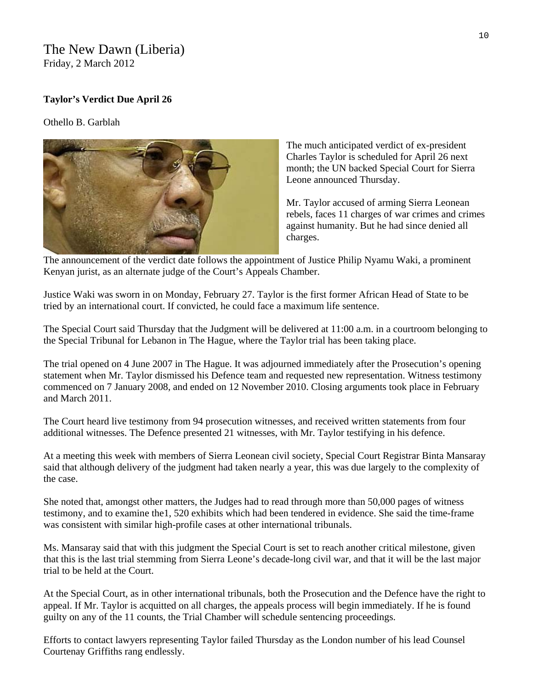#### The New Dawn (Liberia) Friday, 2 March 2012

#### **Taylor's Verdict Due April 26**

Othello B. Garblah



The much anticipated verdict of ex-president Charles Taylor is scheduled for April 26 next month; the UN backed Special Court for Sierra Leone announced Thursday.

Mr. Taylor accused of arming Sierra Leonean rebels, faces 11 charges of war crimes and crimes against humanity. But he had since denied all charges.

The announcement of the verdict date follows the appointme nt of Justice Philip Nyamu Waki, a prominent Kenyan jurist, as an alternate judge of the Court's Appeals Chamber.

Justice Waki was sworn in on Monday, February 27. Taylor is the first former African Head of State to be tried by an international court. If convicted, he could face a maximum life sentence.

The Special Court said Thursday that the Judgment will be delivered at 11:00 a.m. in a courtroom belonging to the Special Tribunal for Lebanon in The Hague, where the Taylor trial has been taking place.

The trial opened on 4 June 2007 in The Hague. It was adjourned immediately after the Prosecution's opening statement when Mr. Taylor dismissed his Defence team and requested new representation. Witness testimony commenced on 7 January 2008, and ended on 12 November 2010. Closing arguments took place in February and March 2011.

The Court heard live testimony from 94 prosecution witnesses, and received written statements from four additional witnesses. The Defence presented 21 witnesses, with Mr. Taylor testifying in his defence.

At a meeting this week with members of Sierra Leonean civil society, Special Court Registrar Binta Mansaray said that although delivery of the judgment had taken nearly a year, this was due largely to the complexity of the case.

She noted that, amongst other matters, the Judges had to read through more than 50,000 pages of witness testimony, and to examine the1, 520 exhibits which had been tendered in evidence. She said the time-frame was consistent with similar high-profile cases at other international tribunals.

Ms. Mansaray said that with this judgment the Special Court is set to reach another critical milestone, given that this is the last trial stemming from Sierra Leone's decade-long civil war, and that it will be the last major trial to be held at the Court.

At the Special Court, as in other international tribunals, both the Prosecution and the Defence have the right to appeal. If Mr. Taylor is acquitted on all charges, the appeals process will begin immediately. If he is found guilty on any of the 11 counts, the Trial Chamber will schedule sentencing proceedings.

Efforts to contact lawyers representing Taylor failed Thursday as the London number of his lead Counsel Courtenay Griffiths rang endlessly.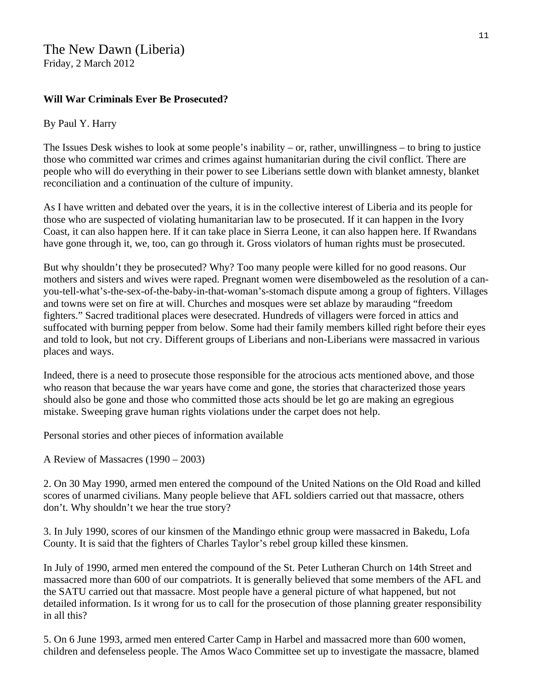#### **Will War Criminals Ever Be Prosecuted?**

#### By Paul Y. Harry

The Issues Desk wishes to look at some people's inability – or, rather, unwillingness – to bring to justice those who committed war crimes and crimes against humanitarian during the civil conflict. There are people who will do everything in their power to see Liberians settle down with blanket amnesty, blanket reconciliation and a continuation of the culture of impunity.

As I have written and debated over the years, it is in the collective interest of Liberia and its people for those who are suspected of violating humanitarian law to be prosecuted. If it can happen in the Ivory Coast, it can also happen here. If it can take place in Sierra Leone, it can also happen here. If Rwandans have gone through it, we, too, can go through it. Gross violators of human rights must be prosecuted.

But why shouldn't they be prosecuted? Why? Too many people were killed for no good reasons. Our mothers and sisters and wives were raped. Pregnant women were disemboweled as the resolution of a canyou-tell-what's-the-sex-of-the-baby-in-that-woman's-stomach dispute among a group of fighters. Villages and towns were set on fire at will. Churches and mosques were set ablaze by marauding "freedom fighters." Sacred traditional places were desecrated. Hundreds of villagers were forced in attics and suffocated with burning pepper from below. Some had their family members killed right before their eyes and told to look, but not cry. Different groups of Liberians and non-Liberians were massacred in various places and ways.

Indeed, there is a need to prosecute those responsible for the atrocious acts mentioned above, and those who reason that because the war years have come and gone, the stories that characterized those years should also be gone and those who committed those acts should be let go are making an egregious mistake. Sweeping grave human rights violations under the carpet does not help.

Personal stories and other pieces of information available

A Review of Massacres (1990 – 2003)

2. On 30 May 1990, armed men entered the compound of the United Nations on the Old Road and killed scores of unarmed civilians. Many people believe that AFL soldiers carried out that massacre, others don't. Why shouldn't we hear the true story?

3. In July 1990, scores of our kinsmen of the Mandingo ethnic group were massacred in Bakedu, Lofa County. It is said that the fighters of Charles Taylor's rebel group killed these kinsmen.

In July of 1990, armed men entered the compound of the St. Peter Lutheran Church on 14th Street and massacred more than 600 of our compatriots. It is generally believed that some members of the AFL and the SATU carried out that massacre. Most people have a general picture of what happened, but not detailed information. Is it wrong for us to call for the prosecution of those planning greater responsibility in all this?

5. On 6 June 1993, armed men entered Carter Camp in Harbel and massacred more than 600 women, children and defenseless people. The Amos Waco Committee set up to investigate the massacre, blamed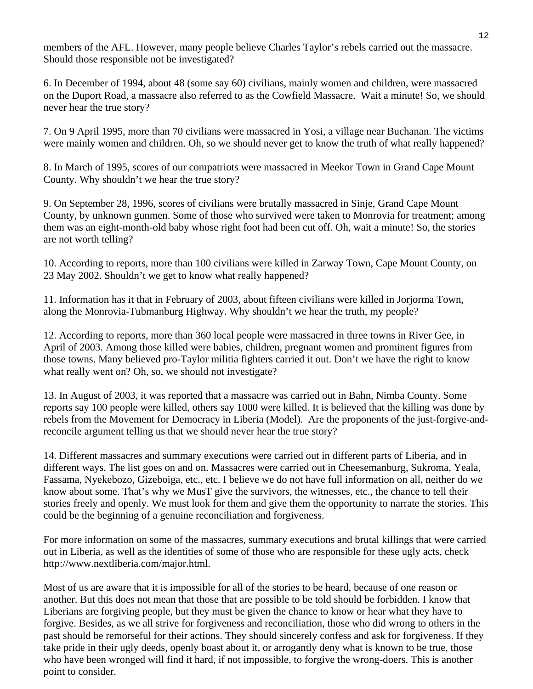members of the AFL. However, many people believe Charles Taylor's rebels carried out the massacre. Should those responsible not be investigated?

6. In December of 1994, about 48 (some say 60) civilians, mainly women and children, were massacred on the Duport Road, a massacre also referred to as the Cowfield Massacre. Wait a minute! So, we should never hear the true story?

7. On 9 April 1995, more than 70 civilians were massacred in Yosi, a village near Buchanan. The victims were mainly women and children. Oh, so we should never get to know the truth of what really happened?

8. In March of 1995, scores of our compatriots were massacred in Meekor Town in Grand Cape Mount County. Why shouldn't we hear the true story?

9. On September 28, 1996, scores of civilians were brutally massacred in Sinje, Grand Cape Mount County, by unknown gunmen. Some of those who survived were taken to Monrovia for treatment; among them was an eight-month-old baby whose right foot had been cut off. Oh, wait a minute! So, the stories are not worth telling?

10. According to reports, more than 100 civilians were killed in Zarway Town, Cape Mount County, on 23 May 2002. Shouldn't we get to know what really happened?

11. Information has it that in February of 2003, about fifteen civilians were killed in Jorjorma Town, along the Monrovia-Tubmanburg Highway. Why shouldn't we hear the truth, my people?

12. According to reports, more than 360 local people were massacred in three towns in River Gee, in April of 2003. Among those killed were babies, children, pregnant women and prominent figures from those towns. Many believed pro-Taylor militia fighters carried it out. Don't we have the right to know what really went on? Oh, so, we should not investigate?

13. In August of 2003, it was reported that a massacre was carried out in Bahn, Nimba County. Some reports say 100 people were killed, others say 1000 were killed. It is believed that the killing was done by rebels from the Movement for Democracy in Liberia (Model). Are the proponents of the just-forgive-andreconcile argument telling us that we should never hear the true story?

14. Different massacres and summary executions were carried out in different parts of Liberia, and in different ways. The list goes on and on. Massacres were carried out in Cheesemanburg, Sukroma, Yeala, Fassama, Nyekebozo, Gizeboiga, etc., etc. I believe we do not have full information on all, neither do we know about some. That's why we MusT give the survivors, the witnesses, etc., the chance to tell their stories freely and openly. We must look for them and give them the opportunity to narrate the stories. This could be the beginning of a genuine reconciliation and forgiveness.

For more information on some of the massacres, summary executions and brutal killings that were carried out in Liberia, as well as the identities of some of those who are responsible for these ugly acts, check http://www.nextliberia.com/major.html.

Most of us are aware that it is impossible for all of the stories to be heard, because of one reason or another. But this does not mean that those that are possible to be told should be forbidden. I know that Liberians are forgiving people, but they must be given the chance to know or hear what they have to forgive. Besides, as we all strive for forgiveness and reconciliation, those who did wrong to others in the past should be remorseful for their actions. They should sincerely confess and ask for forgiveness. If they take pride in their ugly deeds, openly boast about it, or arrogantly deny what is known to be true, those who have been wronged will find it hard, if not impossible, to forgive the wrong-doers. This is another point to consider.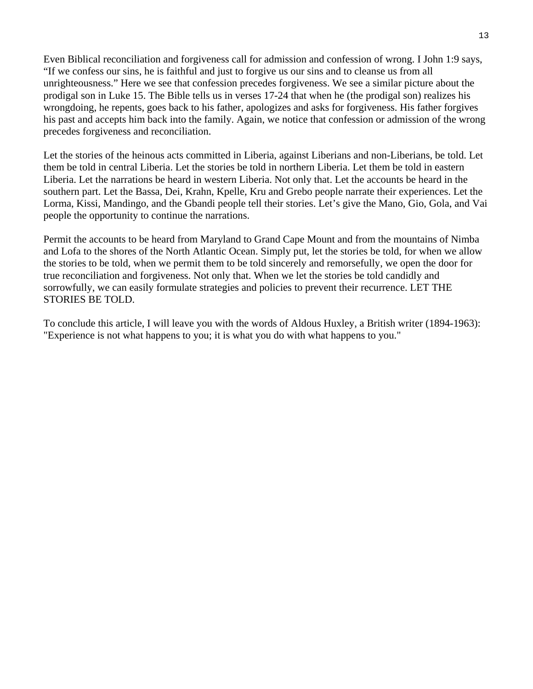Even Biblical reconciliation and forgiveness call for admission and confession of wrong. I John 1:9 says, "If we confess our sins, he is faithful and just to forgive us our sins and to cleanse us from all unrighteousness." Here we see that confession precedes forgiveness. We see a similar picture about the prodigal son in Luke 15. The Bible tells us in verses 17-24 that when he (the prodigal son) realizes his wrongdoing, he repents, goes back to his father, apologizes and asks for forgiveness. His father forgives his past and accepts him back into the family. Again, we notice that confession or admission of the wrong precedes forgiveness and reconciliation.

Let the stories of the heinous acts committed in Liberia, against Liberians and non-Liberians, be told. Let them be told in central Liberia. Let the stories be told in northern Liberia. Let them be told in eastern Liberia. Let the narrations be heard in western Liberia. Not only that. Let the accounts be heard in the southern part. Let the Bassa, Dei, Krahn, Kpelle, Kru and Grebo people narrate their experiences. Let the Lorma, Kissi, Mandingo, and the Gbandi people tell their stories. Let's give the Mano, Gio, Gola, and Vai people the opportunity to continue the narrations.

Permit the accounts to be heard from Maryland to Grand Cape Mount and from the mountains of Nimba and Lofa to the shores of the North Atlantic Ocean. Simply put, let the stories be told, for when we allow the stories to be told, when we permit them to be told sincerely and remorsefully, we open the door for true reconciliation and forgiveness. Not only that. When we let the stories be told candidly and sorrowfully, we can easily formulate strategies and policies to prevent their recurrence. LET THE STORIES BE TOLD.

To conclude this article, I will leave you with the words of Aldous Huxley, a British writer (1894-1963): "Experience is not what happens to you; it is what you do with what happens to you."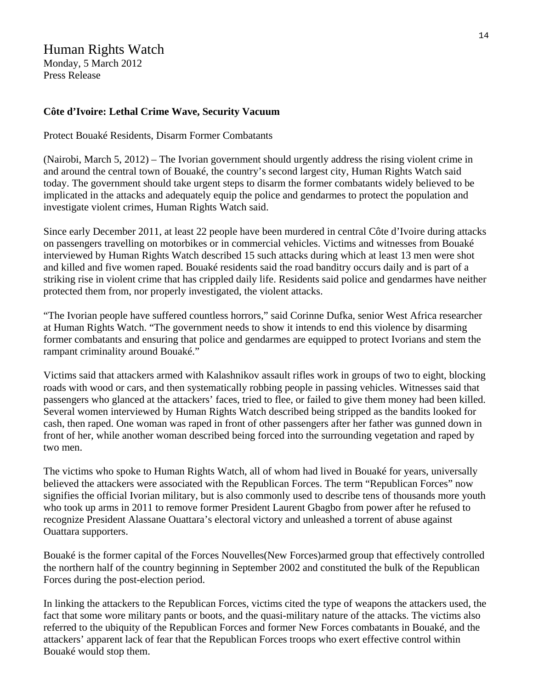#### Human Rights Watch

Monday, 5 March 2012 Press Release

#### **Côte d'Ivoire: Lethal Crime Wave, Security Vacuum**

Protect Bouaké Residents, Disarm Former Combatants

(Nairobi, March 5, 2012) – The Ivorian government should urgently address the rising violent crime in and around the central town of Bouaké, the country's second largest city, Human Rights Watch said today. The government should take urgent steps to disarm the former combatants widely believed to be implicated in the attacks and adequately equip the police and gendarmes to protect the population and investigate violent crimes, Human Rights Watch said.

Since early December 2011, at least 22 people have been murdered in central Côte d'Ivoire during attacks on passengers travelling on motorbikes or in commercial vehicles. Victims and witnesses from Bouaké interviewed by Human Rights Watch described 15 such attacks during which at least 13 men were shot and killed and five women raped. Bouaké residents said the road banditry occurs daily and is part of a striking rise in violent crime that has crippled daily life. Residents said police and gendarmes have neither protected them from, nor properly investigated, the violent attacks.

"The Ivorian people have suffered countless horrors," said Corinne Dufka, senior West Africa researcher at Human Rights Watch. "The government needs to show it intends to end this violence by disarming former combatants and ensuring that police and gendarmes are equipped to protect Ivorians and stem the rampant criminality around Bouaké."

Victims said that attackers armed with Kalashnikov assault rifles work in groups of two to eight, blocking roads with wood or cars, and then systematically robbing people in passing vehicles. Witnesses said that passengers who glanced at the attackers' faces, tried to flee, or failed to give them money had been killed. Several women interviewed by Human Rights Watch described being stripped as the bandits looked for cash, then raped. One woman was raped in front of other passengers after her father was gunned down in front of her, while another woman described being forced into the surrounding vegetation and raped by two men.

The victims who spoke to Human Rights Watch, all of whom had lived in Bouaké for years, universally believed the attackers were associated with the Republican Forces. The term "Republican Forces" now signifies the official Ivorian military, but is also commonly used to describe tens of thousands more youth who took up arms in 2011 to remove former President Laurent Gbagbo from power after he refused to recognize President Alassane Ouattara's electoral victory and unleashed a torrent of abuse against Ouattara supporters.

Bouaké is the former capital of the Forces Nouvelles(New Forces)armed group that effectively controlled the northern half of the country beginning in September 2002 and constituted the bulk of the Republican Forces during the post-election period.

In linking the attackers to the Republican Forces, victims cited the type of weapons the attackers used, the fact that some wore military pants or boots, and the quasi-military nature of the attacks. The victims also referred to the ubiquity of the Republican Forces and former New Forces combatants in Bouaké, and the attackers' apparent lack of fear that the Republican Forces troops who exert effective control within Bouaké would stop them.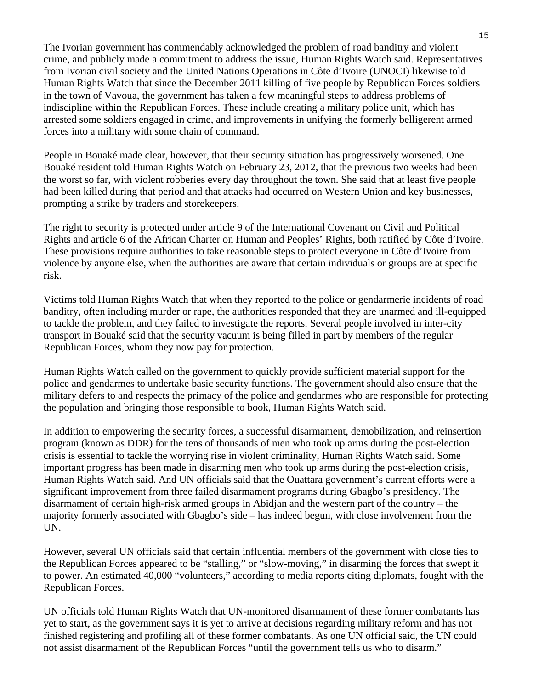The Ivorian government has commendably acknowledged the problem of road banditry and violent crime, and publicly made a commitment to address the issue, Human Rights Watch said. Representatives from Ivorian civil society and the United Nations Operations in Côte d'Ivoire (UNOCI) likewise told Human Rights Watch that since the December 2011 killing of five people by Republican Forces soldiers in the town of Vavoua, the government has taken a few meaningful steps to address problems of indiscipline within the Republican Forces. These include creating a military police unit, which has arrested some soldiers engaged in crime, and improvements in unifying the formerly belligerent armed forces into a military with some chain of command.

People in Bouaké made clear, however, that their security situation has progressively worsened. One Bouaké resident told Human Rights Watch on February 23, 2012, that the previous two weeks had been the worst so far, with violent robberies every day throughout the town. She said that at least five people had been killed during that period and that attacks had occurred on Western Union and key businesses, prompting a strike by traders and storekeepers.

The right to security is protected under article 9 of the International Covenant on Civil and Political Rights and article 6 of the African Charter on Human and Peoples' Rights, both ratified by Côte d'Ivoire. These provisions require authorities to take reasonable steps to protect everyone in Côte d'Ivoire from violence by anyone else, when the authorities are aware that certain individuals or groups are at specific risk.

Victims told Human Rights Watch that when they reported to the police or gendarmerie incidents of road banditry, often including murder or rape, the authorities responded that they are unarmed and ill-equipped to tackle the problem, and they failed to investigate the reports. Several people involved in inter-city transport in Bouaké said that the security vacuum is being filled in part by members of the regular Republican Forces, whom they now pay for protection.

Human Rights Watch called on the government to quickly provide sufficient material support for the police and gendarmes to undertake basic security functions. The government should also ensure that the military defers to and respects the primacy of the police and gendarmes who are responsible for protecting the population and bringing those responsible to book, Human Rights Watch said.

In addition to empowering the security forces, a successful disarmament, demobilization, and reinsertion program (known as DDR) for the tens of thousands of men who took up arms during the post-election crisis is essential to tackle the worrying rise in violent criminality, Human Rights Watch said. Some important progress has been made in disarming men who took up arms during the post-election crisis, Human Rights Watch said. And UN officials said that the Ouattara government's current efforts were a significant improvement from three failed disarmament programs during Gbagbo's presidency. The disarmament of certain high-risk armed groups in Abidjan and the western part of the country – the majority formerly associated with Gbagbo's side – has indeed begun, with close involvement from the UN.

However, several UN officials said that certain influential members of the government with close ties to the Republican Forces appeared to be "stalling," or "slow-moving," in disarming the forces that swept it to power. An estimated 40,000 "volunteers," according to media reports citing diplomats, fought with the Republican Forces.

UN officials told Human Rights Watch that UN-monitored disarmament of these former combatants has yet to start, as the government says it is yet to arrive at decisions regarding military reform and has not finished registering and profiling all of these former combatants. As one UN official said, the UN could not assist disarmament of the Republican Forces "until the government tells us who to disarm."